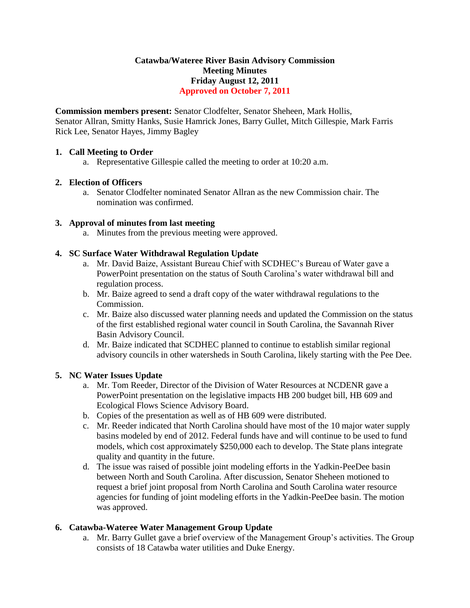## **Catawba/Wateree River Basin Advisory Commission Meeting Minutes Friday August 12, 2011 Approved on October 7, 2011**

**Commission members present:** Senator Clodfelter, Senator Sheheen, Mark Hollis, Senator Allran, Smitty Hanks, Susie Hamrick Jones, Barry Gullet, Mitch Gillespie, Mark Farris Rick Lee, Senator Hayes, Jimmy Bagley

#### **1. Call Meeting to Order**

a. Representative Gillespie called the meeting to order at 10:20 a.m.

#### **2. Election of Officers**

a. Senator Clodfelter nominated Senator Allran as the new Commission chair. The nomination was confirmed.

#### **3. Approval of minutes from last meeting**

a. Minutes from the previous meeting were approved.

#### **4. SC Surface Water Withdrawal Regulation Update**

- a. Mr. David Baize, Assistant Bureau Chief with SCDHEC's Bureau of Water gave a PowerPoint presentation on the status of South Carolina's water withdrawal bill and regulation process.
- b. Mr. Baize agreed to send a draft copy of the water withdrawal regulations to the Commission.
- c. Mr. Baize also discussed water planning needs and updated the Commission on the status of the first established regional water council in South Carolina, the Savannah River Basin Advisory Council.
- d. Mr. Baize indicated that SCDHEC planned to continue to establish similar regional advisory councils in other watersheds in South Carolina, likely starting with the Pee Dee.

## **5. NC Water Issues Update**

- a. Mr. Tom Reeder, Director of the Division of Water Resources at NCDENR gave a PowerPoint presentation on the legislative impacts HB 200 budget bill, HB 609 and Ecological Flows Science Advisory Board.
- b. Copies of the presentation as well as of HB 609 were distributed.
- c. Mr. Reeder indicated that North Carolina should have most of the 10 major water supply basins modeled by end of 2012. Federal funds have and will continue to be used to fund models, which cost approximately \$250,000 each to develop. The State plans integrate quality and quantity in the future.
- d. The issue was raised of possible joint modeling efforts in the Yadkin-PeeDee basin between North and South Carolina. After discussion, Senator Sheheen motioned to request a brief joint proposal from North Carolina and South Carolina water resource agencies for funding of joint modeling efforts in the Yadkin-PeeDee basin. The motion was approved.

## **6. Catawba-Wateree Water Management Group Update**

a. Mr. Barry Gullet gave a brief overview of the Management Group's activities. The Group consists of 18 Catawba water utilities and Duke Energy.